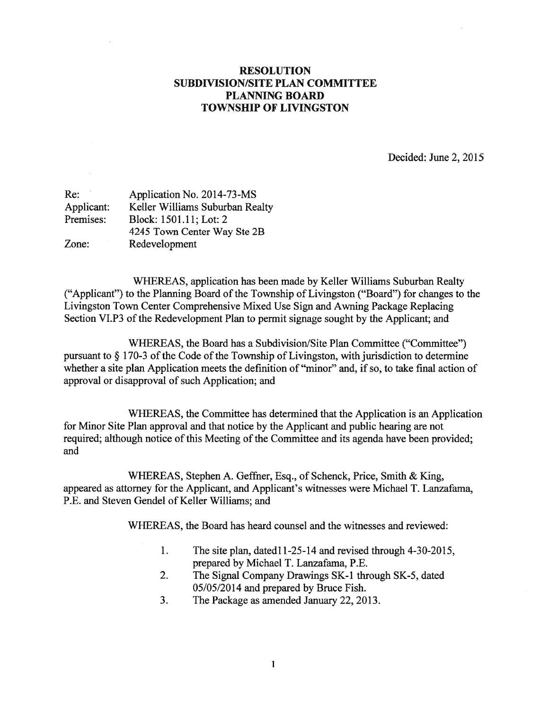## RESOLUTION SUBDIVISION/SITE PLAN COMMITTEE PLANNING BOARD TOWNSHIP OF LIVINGSTON

Decided: June 2, 2015

| Re:        | Application No. 2014-73-MS      |
|------------|---------------------------------|
| Applicant: | Keller Williams Suburban Realty |
| Premises:  | Block: 1501.11; Lot: 2          |
|            | 4245 Town Center Way Ste 2B     |
| Zone:      | Redevelopment                   |

WHEREAS, application has been made by Keller Williams Suburban Realty ("Applicant") to the Planning Board of the Township of Livingston ("Board") for changes to the Livingston Town Center Comprehensive Mixed Use Sign and Awning Package Replacing Section VI.P3 of the Redevelopment Plan to permit signage sought by the Applicant; and

WHEREAS, the Board has <sup>a</sup> Subdivision/Site Plan Committee ("Committee") pursuant to  $\S 170-3$  of the Code of the Township of Livingston, with jurisdiction to determine whether <sup>a</sup> site plan Application meets the definition of "minor" and, if so, to take final action of approval or disapproval of such Application; and

WHEREAS, the Committee has determined that the Application is an Application for Minor Site Plan approval and that notice by the Applicant and public hearing are not required; although notice of this Meeting of the Committee and its agenda have been provided; and

WHEREAS, Stephen A. Geffner, Esq., of Schenck, Price, Smith & King, appeared as attorney for the Applicant, and Applicant's witnesses were Michael T. Lanzafama, P.E. and Steven Gendel of Keller Williams; and

WHEREAS, the Board has heard counsel and the witnesses and reviewed:

- 1. The site plan, datedi 1-25-14 and revised through 4-30-2015, prepared by Michael T. Lanzafama, P.E.
- 2. The Signal Company Drawings SK-1 through SK-5, dated 05/05/2014 and prepared by Bruce Fish.
- 3. The Package as amended January 22, 2013.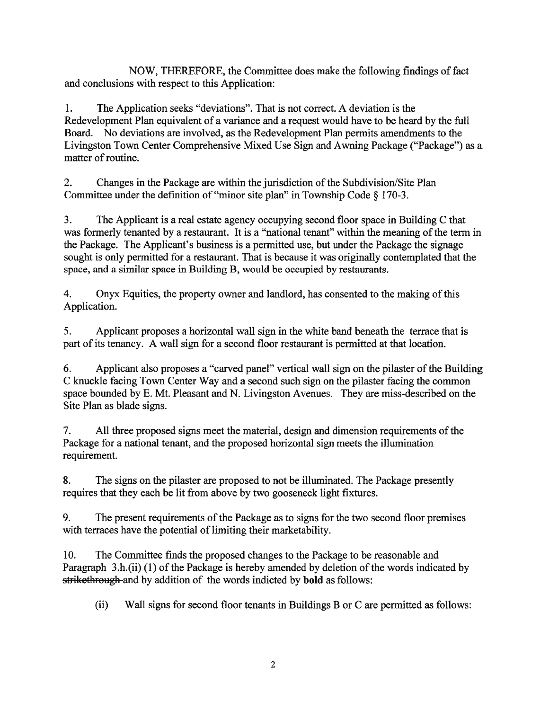NOW, THEREFORE, the Committee does make the following findings of fact and conclusions with respec<sup>t</sup> to this Application:

1. The Application seeks "deviations". That is not correct. A deviation is the Redevelopment Plan equivalent of <sup>a</sup> variance and <sup>a</sup> reques<sup>t</sup> would have to be heard by the full Board. No deviations are involved, as the Redevelopment Plan permits amendments to the Livingston Town Center Comprehensive Mixed Use Sign and Awning Package ("Package") as <sup>a</sup> matter of routine.

2. Changes in the Package are within the jurisdiction of the Subdivision/Site Plan Committee under the definition of "minor site <sup>p</sup>lan" in Township Code § 170-3.

3. The Applicant is <sup>a</sup> real estate agency occupying second floor space in Building C that was formerly tenanted by a restaurant. It is a "national tenant" within the meaning of the term in the Package. The Applicant's business is <sup>a</sup> permitted use, but under the Package the signage sought is only permitted for <sup>a</sup> restaurant. That is because it was originally contemplated that the space, and <sup>a</sup> similar space in Building B, would be occupied by restaurants.

4. Onyx Equities, the property owner and landlord, has consented to the making of this Application.

5. Applicant proposes <sup>a</sup> horizontal wall sign in the white band beneath the terrace that is par<sup>t</sup> of its tenancy. A wall sign for <sup>a</sup> second floor restaurant is permitted at that location.

6. Applicant also proposes a "carved panel" vertical wall sign on the pilaster of the Building C knuckle facing Town Center Way and <sup>a</sup> second such sign on the pilaster facing the common space bounded by F. Mt. Pleasant and N. Livingston Avenues. They are miss-described on the Site Plan as blade signs.

7. All three proposed signs meet the material, design and dimension requirements of the Package for <sup>a</sup> national tenant, and the proposed horizontal sign meets the illumination requirement.

8. The signs on the pilaster are proposed to not be illuminated. The Package presently requires that they each be lit from above by two gooseneck light fixtures.

9. The present requirements of the Package as to signs for the two second floor premises with terraces have the potential of limiting their marketability.

10. The Committee finds the proposed changes to the Package to be reasonable and Paragraph 3.h.(ii) (1) of the Package is hereby amended by deletion of the words indicated by strikethrough and by addition of the words indicted by bold as follows:

(ii) Wall signs for second floor tenants in Buildings B or C are permitted as follows: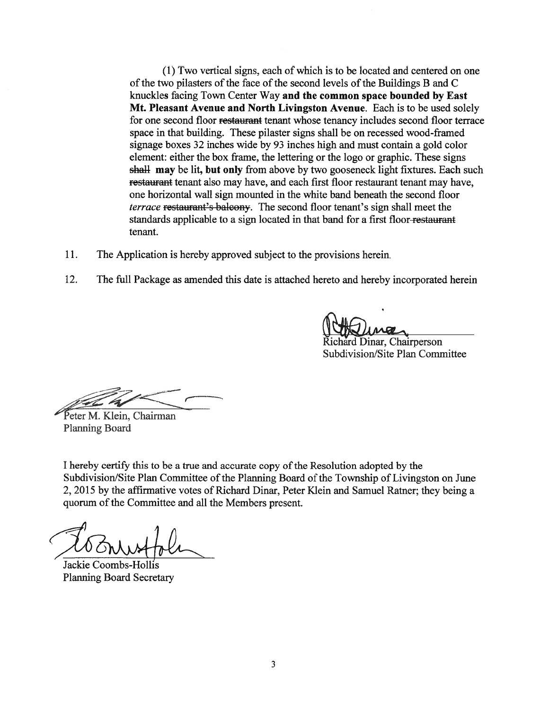(1) Two vertical signs, each of which is to be located and centered on one of the two pilasters of the face of the second levels of the Buildings B and C knuckles facing Town Center Way and the common space bounded by East Mt. Pleasant Avenue and North Livingston Avenue. Each is to be used solely for one second floor restaurant tenant whose tenancy includes second floor terrace space in that building. These pilaster signs shall be on recessed wood-framed signage boxes 32 inches wide by 93 inches high and must contain <sup>a</sup> gold color element: either the box frame, the lettering or the logo or graphic. These signs shall may be lit, but only from above by two gooseneck light fixtures. Each such restaurant tenant also may have, and each first floor restaurant tenant may have, one horizontal wall sign mounted in the white band beneath the second floor terrace restaurant's balcony. The second floor tenant's sign shall meet the standards applicable to a sign located in that band for a first floor-restaurant tenant.

- 11. The Application is hereby approved subject to the provisions herein.
- 12. The full Package as amended this date is attached hereto and hereby incorporated herein

chard Dinar, Chairperson

Subdivision/Site Plan Committee

Peter M. Klein, Chairman Planning Board

<sup>I</sup> hereby certify this to be <sup>a</sup> true and accurate copy ofthe Resolution adopted by the Subdivision/Site Plan Committee of the Planning Board of the Township of Livingston on June 2, 2015 by the affirmative votes of Richard Dinar, Peter Klein and Samuel Ratner; they being <sup>a</sup> quorum of the Committee and all the Members present.

Jackie Coombs-Hollis Planning Board Secretary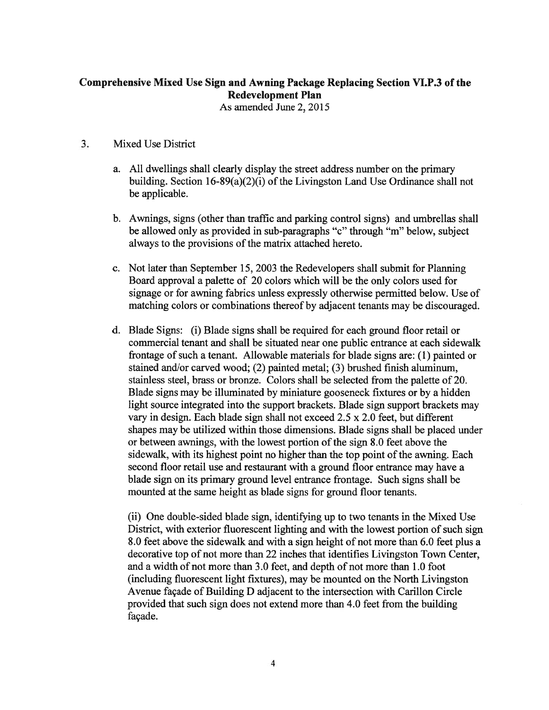## Comprehensive Mixed Use Sign and Awning Package Replacing Section VI.P.3 of the Redevelopment Plan

As amended June 2, 2015

## 3. Mixed Use District

- a. All dwellings shall clearly display the street address number on the primary building. Section  $16-89(a)(2)(i)$  of the Livingston Land Use Ordinance shall not be applicable.
- b. Awnings, signs (other than traffic and parking control signs) and umbrellas shall be allowed only as provided in sub-paragraphs "c" through "m" below, subject always to the provisions of the matrix attached hereto.
- c. Not later than September 15, 2003 the Redevelopers shall submit for Planning Board approval <sup>a</sup> palette of 20 colors which will be the only colors used for signage or for awning fabrics unless expressly otherwise permitted below. Use of matching colors or combinations thereof by adjacent tenants may be discouraged.
- d. Blade Signs: (i) Blade signs shall be required for each ground floor retail or commercial tenant and shall be situated near one public entrance at each sidewalk frontage of such <sup>a</sup> tenant. Allowable materials for blade signs are: (1) painted or stained and/or carved wood; (2) painted metal; (3) brushed finish aluminum, stainless steel, brass or bronze. Colors shall be selected from the palette of 20. Blade signs may be illuminated by miniature gooseneck fixtures or by <sup>a</sup> hidden light source integrated into the suppor<sup>t</sup> brackets. Blade sign suppor<sup>t</sup> brackets may vary in design. Each blade sign shall not exceed 2.5 <sup>x</sup> 2.0 feet, but different shapes may be utilized within those dimensions. Blade signs shall be placed under or between awnings, with the lowest portion of the sign 8.0 feet above the sidewalk, with its highest point no higher than the top point of the awning. Each second floor retail use and restaurant with <sup>a</sup> ground floor entrance may have <sup>a</sup> blade sign on its primary ground level entrance frontage. Such signs shall be mounted at the same height as blade signs for ground floor tenants.

(ii) One double-sided blade sign, identifying up to two tenants in the Mixed Use District, with exterior fluorescent lighting and with the lowest portion of such sign 8.0 feet above the sidewalk and with <sup>a</sup> sign height of not more than 6.0 feet plus <sup>a</sup> decorative top of not more than 22 inches that identifies Livingston Town Center, and <sup>a</sup> width of not more than 3.0 feet, and depth of not more than 1.0 foot (including fluorescent light fixtures), may be mounted on the North Livingston Avenue façade of Building D adjacent to the intersection with Carillon Circle provided that such sign does not extend more than 4.0 feet from the building façade.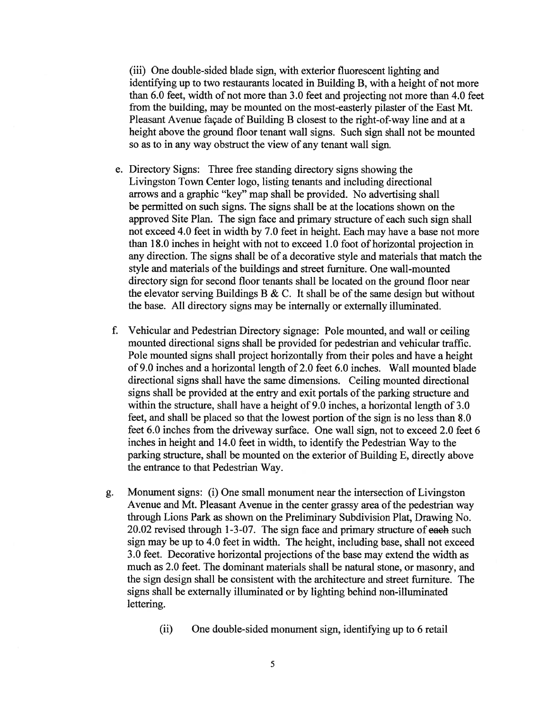(iii) One double-sided blade sign, with exterior fluorescent lighting and identifying up to two restaurants located in Building B, with <sup>a</sup> height of not more than 6.0 feet, width of not more than 3.0 feet and projecting not more than 4.0 feet from the building, may be mounted on the most-easterly pilaster of the East Mt. Pleasant Avenue façade of Building B closest to the right-of-way line and at <sup>a</sup> height above the ground floor tenant wall signs. Such sign shall not be mounted so as to in any way obstruct the view of any tenant wall sign.

- e. Directory Signs: Three free standing directory signs showing the Livingston Town Center logo, listing tenants and including directional arrows and <sup>a</sup> graphic "key" map shall be provided. No advertising shall be permitted on such signs. The signs shall be at the locations shown on the approved Site Plan. The sign face and primary structure of each such sign shall not exceed 4.0 feet in width by 7.0 feet in height. Each may have <sup>a</sup> base not more than 18.0 inches in height with not to exceed 1.0 foot of horizontal projection in any direction. The signs shall be of <sup>a</sup> decorative style and materials that match the style and materials of the buildings and street furniture. One wall-mounted directory sign for second floor tenants shall be located on the ground floor near the elevator serving Buildings B & C. It shall be of the same design but without the base. All directory signs may be internally or externally illuminated.
- f. Vehicular and Pedestrian Directory signage: Pole mounted, and wall or ceiling mounted directional signs shall be provided for pedestrian and vehicular traffic. Pole mounted signs shall project horizontally from their poles and have <sup>a</sup> height of 9.0 inches and <sup>a</sup> horizontal length of 2.0 feet 6.0 inches. Wall mounted blade directional signs shall have the same dimensions. Ceiling mounted directional signs shall be provided at the entry and exit portals of the parking structure and within the structure, shall have <sup>a</sup> height of 9.0 inches, <sup>a</sup> horizontal length of 3.0 feet, and shall be placed so that the lowest portion of the sign is no less than 8.0 feet 6.0 inches from the driveway surface. One wall sign, not to exceed 2.0 feet 6 inches in height and 14.0 feet in width, to identify the Pedestrian Way to the parking structure, shall be mounted on the exterior of Building E, directly above the entrance to that Pedestrian Way.
- g. Monument signs: (i) One small monument near the intersection of Livingston Avenue and Mt. Pleasant Avenue in the center grassy area of the pedestrian way through Lions Park as shown on the Preliminary Subdivision Plat, Drawing No. 20.02 revised through 1-3-07. The sign face and primary structure of eaeh such sign may be up to 4.0 feet in width. The height, including base, shall not exceed 3.0 feet. Decorative horizontal projections of the base may extend the width as much as 2.0 feet. The dominant materials shall be natural stone, or masonry, and the sign design shall be consistent with the architecture and street furniture. The signs shall be externally illuminated or by lighting behind non-illuminated lettering.
	- (ii) One double-sided monument sign, identifying up to 6 retail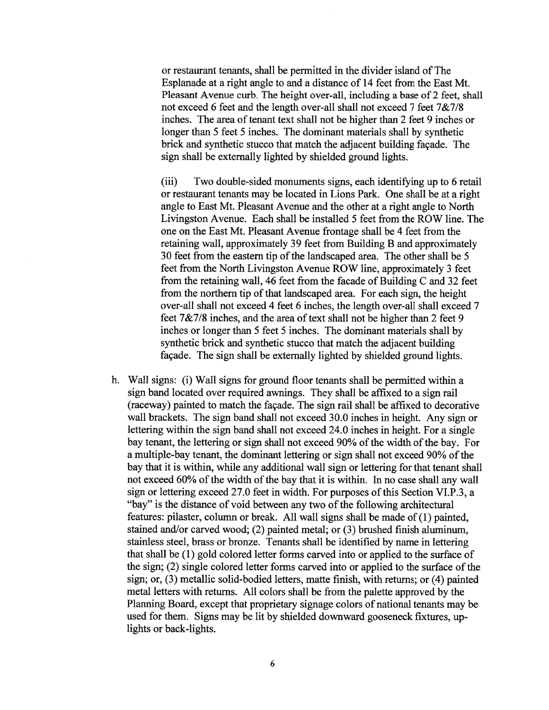or restaurant tenants, shall be permitted in the divider island of The Esplanade at <sup>a</sup> right angle to and <sup>a</sup> distance of 14 feet from the East Mt. Pleasant Avenue curb. The height over-all, including <sup>a</sup> base of 2 feet, shall not exceed 6 feet and the length over-all shall not exceed 7 feet 7&7/8 inches. The area of tenant text shall not be higher than 2 feet 9 inches or longer than 5 feet 5 inches. The dominant materials shall by synthetic brick and synthetic stucco that match the adjacent building façade. The sign shall be externally lighted by shielded ground lights.

(iii) Two double-sided monuments signs, each identifying up to 6 retail or restaurant tenants may be located in Lions Park. One shall be at <sup>a</sup> right angle to East Mt. Pleasant Avenue and the other at <sup>a</sup> right angle to North Livingston Avenue. Each shall be installed 5 feet from the ROW line. The one on the East Mt. Pleasant Avenue frontage shall be 4 feet from the retaining wall, approximately 39 feet from Building B and approximately 30 feet from the eastern tip of the landscaped area. The other shall be 5 feet from the North Livingston Avenue ROW line, approximately 3 feet from the retaining wall, 46 feet from the facade of Building C and 32 feet from the northern tip of that landscaped area. For each sign, the height over-all shall not exceed 4 feet 6 inches, the length over-all shall exceed 7 feet 7&7/8 inches, and the area of text shall not be higher than 2 feet 9 inches or longer than 5 feet 5 inches. The dominant materials shall by synthetic brick and synthetic stucco that match the adjacent building façade. The sign shall be externally lighted by shielded ground lights.

h. Wall signs: (i) Wall signs for ground floor tenants shall be permitted within <sup>a</sup> sign band located over required awnings. They shall be affixed to <sup>a</sup> sign rail (raceway) painted to match the façade. The sign rail shall be affixed to decorative wall brackets. The sign band shall not exceed 30.0 inches in height. Any sign or lettering within the sign band shall not exceed 24.0 inches in height. For <sup>a</sup> single bay tenant, the lettering or sign shall not exceed 90% of the width of the bay. For a multiple-bay tenant, the dominant lettering or sign shall not exceed 90% of the bay that it is within, while any additional wall sign or lettering for that tenant shall not exceed 60% of the width of the bay that it is within. In no case shall any wall sign or lettering exceed 27.0 feet in width. For purposes of this Section VI.P.3, a "bay" is the distance of void between any two of the following architectural features: pilaster, column or break. All wall signs shall be made of(1) painted, stained and/or carved wood; (2) painted metal; or (3) brushed finish aluminum, stainless steel, brass or bronze. Tenants shall be identified by name in lettering that shall be (1) gold colored letter forms carved into or applied to the surface of the sign;  $(2)$  single colored letter forms carved into or applied to the surface of the sign; or, (3) metallic solid-bodied letters, matte finish, with returns; or (4) painted metal letters with returns. All colors shall be from the palette approved by the Planning Board, excep<sup>t</sup> that proprietary signage colors of national tenants may be used for them. Signs may be lit by shielded downward gooseneck fixtures, up lights or back-lights.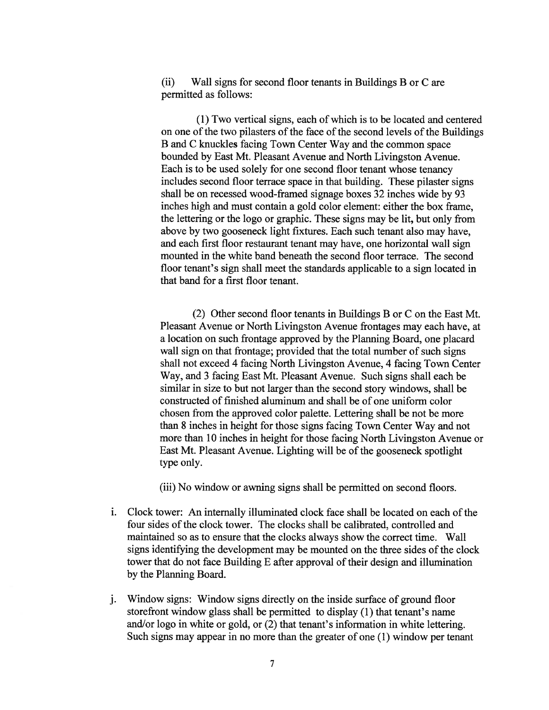(ii) Wall signs for second floor tenants in Buildings B or C are permitted as follows:

(1) Two vertical signs, each of which is to be located and centered on one of the two pilasters of the face of the second levels of the Buildings <sup>B</sup> and C knuckles facing Town Center Way and the common space bounded by East Mt. Pleasant Avenue and North Livingston Avenue. Each is to be used solely for one second floor tenant whose tenancy includes second floor terrace space in that building. These <sup>p</sup>ilaster signs shall be on recessed wood-framed signage boxes 32 inches wide by 93 inches high and must contain <sup>a</sup> gold color element: either the box frame, the lettering or the logo or graphic. These signs may be lit, but only from above by two gooseneck light fixtures. Each such tenant also may have, and each first floor restaurant tenant may have, one horizontal wall sign mounted in the white band beneath the second floor terrace. The second floor tenant's sign shall meet the standards applicable to <sup>a</sup> sign located in that band for <sup>a</sup> first floor tenant.

(2) Other second floor tenants in Buildings B or C on the East Mt. Pleasant Avenue or North Livingston Avenue frontages may each have, at <sup>a</sup> location on such frontage approved by the Planning Board, one placard wall sign on that frontage; provided that the total number of such signs shall not exceed 4 facing North Livingston Avenue, 4 facing Town Center Way, and 3 facing East Mt. Pleasant Avenue. Such signs shall each be similar in size to but not larger than the second story windows, shall be constructed of finished aluminum and shall be of one uniform color chosen from the approved color palette. Lettering shall be not be more than 8 inches in height for those signs facing Town Center Way and not more than 10 inches in height for those facing North Livingston Avenue or East Mt. Pleasant Avenue. Lighting will be of the gooseneck spotlight type only.

(iii) No window or awning signs shall be permitted on second floors.

- i. Clock tower: An internally illuminated clock face shall be located on each of the four sides of the clock tower. The clocks shall be calibrated, controlled and maintained so as to ensure that the clocks always show the correct time. Wall signs identifying the development may be mounted on the three sides of the clock tower that do not face Building E after approval of their design and illumination by the Planning Board.
- j. Window signs: Window signs directly on the inside surface of groun<sup>d</sup> floor storefront window glass shall be permitted to display (1) that tenant's name and/or logo in white or gold, or (2) that tenant's information in white lettering. Such signs may appear in no more than the greater of one (1) window per tenant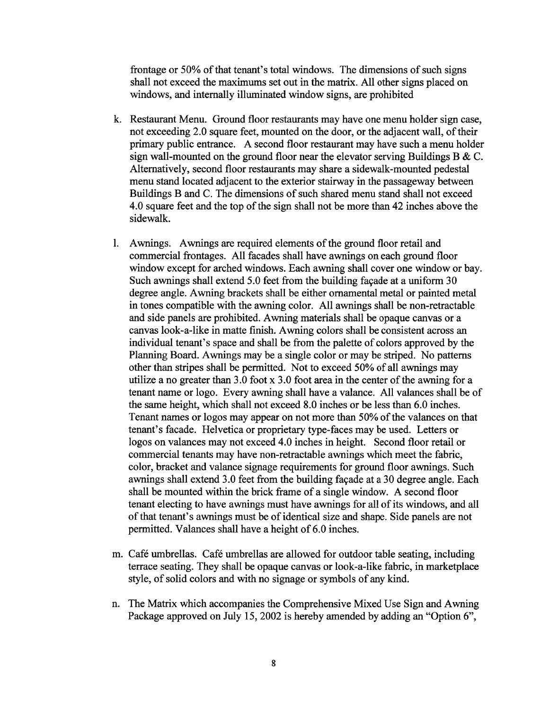frontage or 50% of that tenant's total windows. The dimensions of such signs shall not exceed the maximums set out in the matrix. All other signs placed on windows, and internally illuminated window signs, are prohibited

- k. Restaurant Menu. Ground floor restaurants may have one menu holder sign case, not exceeding 2.0 square feet, mounted on the door, or the adjacent wall, of their primary public entrance. A second floor restaurant may have such <sup>a</sup> menu holder sign wall-mounted on the ground floor near the elevator serving Buildings B  $&C$ . Alternatively, second floor restaurants may share <sup>a</sup> sidewalk-mounted pedestal menu stand located adjacent to the exterior stairway in the passageway between Buildings B and C. The dimensions of such shared menu stand shall not exceed 4.0 square feet and the top of the sign shall not be more than 42 inches above the sidewalk.
- 1. Awnings. Awnings are required elements of the ground floor retail and commercial frontages. All facades shall have awnings on each ground floor window excep<sup>t</sup> for arched windows. Each awning shall cover one window or bay. Such awnings shall extend 5.0 feet from the building façade at <sup>a</sup> uniform 30 degree angle. Awning brackets shall be either ornamental metal or painted metal in tones compatible with the awning color. All awnings shall be non-retractable and side panels are prohibited. Awning materials shall be opaque canvas or <sup>a</sup> canvas look-a-like in matte finish. Awning colors shall be consistent across an individual tenant's space and shall be from the palette of colors approved by the Planning Board. Awnings may be <sup>a</sup> single color or may be striped. No patterns other than stripes shall be permitted. Not to exceed 50% of all awnings may utilize <sup>a</sup> no greater than 3.0 foot <sup>x</sup> 3.0 foot area in the center of the awning for <sup>a</sup> tenant name or logo. Every awning shall have <sup>a</sup> valance. All valances shall be of the same height, which shall not exceed 8.0 inches or be less than 6.0 inches. Tenant names or logos may appear on not more than 50% of the valances on that tenant's facade. Helvetica or proprietary type-faces may be used. Letters or logos on valances may not exceed 4.0 inches in height. Second floor retail or commercial tenants may have non-retractable awnings which meet the fabric, color, bracket and valance signage requirements for ground floor awnings. Such awnings shall extend 3.0 feet from the building façade at <sup>a</sup> 30 degree angle. Each shall be mounted within the brick frame of <sup>a</sup> single window. A second floor tenant electing to have awnings must have awnings for all of its windows, and all of that tenant's awnings must be of identical size and shape. Side panels are not permitted. Valances shall have <sup>a</sup> height of 6.0 inches.
- m. Café umbrellas. Café umbrellas are allowed for outdoor table seating, including terrace seating. They shall be opaque canvas or look-a-like fabric, in marketplace style, of solid colors and with no signage or symbols of any kind.
- n. The Matrix which accompanies the Comprehensive Mixed Use Sign and Awning Package approved on July 15, 2002 is hereby amended by adding an "Option 6",